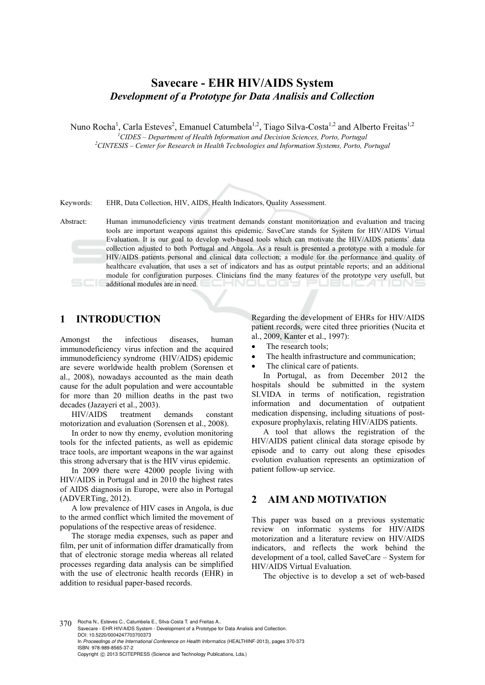# **Savecare - EHR HIV/AIDS System**  *Development of a Prototype for Data Analisis and Collection*

Nuno Rocha<sup>1</sup>, Carla Esteves<sup>2</sup>, Emanuel Catumbela<sup>1,2</sup>, Tiago Silva-Costa<sup>1,2</sup> and Alberto Freitas<sup>1,2</sup>

<sup>1</sup> CIDES – Department of Health Information and Decision Sciences, Porto, Portugal <sup>2</sup>CINTESIS – Conten for Besearch in Health Technologies and Information Systems, Borto, B

<sup>2</sup> CINTESIS – Center for Research in Health Technologies and Information Systems, Porto, Portugal

Keywords: EHR, Data Collection, HIV, AIDS, Health Indicators, Quality Assessment.

Abstract: Human immunodeficiency virus treatment demands constant monitorization and evaluation and tracing tools are important weapons against this epidemic. SaveCare stands for System for HIV/AIDS Virtual Evaluation. It is our goal to develop web-based tools which can motivate the HIV/AIDS patients' data collection adjusted to both Portugal and Angola. As a result is presented a prototype with a module for HIV/AIDS patients personal and clinical data collection; a module for the performance and quality of healthcare evaluation, that uses a set of indicators and has as output printable reports; and an additional module for configuration purposes. Clinicians find the many features of the prototype very usefull, but additional modules are in need. -NOLOGY I

# **1 INTRODUCTION**

Amongst the infectious diseases, human immunodeficiency virus infection and the acquired immunodeficiency syndrome (HIV/AIDS) epidemic are severe worldwide health problem (Sorensen et al., 2008), nowadays accounted as the main death cause for the adult population and were accountable for more than 20 million deaths in the past two decades (Jazayeri et al., 2003).

HIV/AIDS treatment demands constant motorization and evaluation (Sorensen et al., 2008).

In order to now thy enemy, evolution monitoring tools for the infected patients, as well as epidemic trace tools, are important weapons in the war against this strong adversary that is the HIV virus epidemic.

In 2009 there were 42000 people living with HIV/AIDS in Portugal and in 2010 the highest rates of AIDS diagnosis in Europe, were also in Portugal (ADVERTing, 2012).

A low prevalence of HIV cases in Angola, is due to the armed conflict which limited the movement of populations of the respective areas of residence.

The storage media expenses, such as paper and film, per unit of information differ dramatically from that of electronic storage media whereas all related processes regarding data analysis can be simplified with the use of electronic health records (EHR) in addition to residual paper-based records.

Regarding the development of EHRs for HIV/AIDS patient records, were cited three priorities (Nucita et al., 2009, Kanter et al., 1997):

- The research tools;
- The health infrastructure and communication;
- The clinical care of patients.

In Portugal, as from December 2012 the hospitals should be submitted in the system SI.VIDA in terms of notification, registration information and documentation of outpatient medication dispensing, including situations of postexposure prophylaxis, relating HIV/AIDS patients.

A tool that allows the registration of the HIV/AIDS patient clinical data storage episode by episode and to carry out along these episodes evolution evaluation represents an optimization of patient follow-up service.

# **2 AIM AND MOTIVATION**

This paper was based on a previous systematic review on informatic systems for HIV/AIDS motorization and a literature review on HIV/AIDS indicators, and reflects the work behind the development of a tool, called SaveCare – System for HIV/AIDS Virtual Evaluation.

The objective is to develop a set of web-based

370 Rocha N., Esteves C., Catumbela E., Silva-Costa T. and Freitas A. Savecare - EHR HIV/AIDS System - Development of a Prototype for Data Analisis and Collection. DOI: 10.5220/0004247703700373 In *Proceedings of the International Conference on Health Informatics* (HEALTHINF-2013), pages 370-373 ISBN: 978-989-8565-37-2 Copyright © 2013 SCITEPRESS (Science and Technology Publications, Lda.)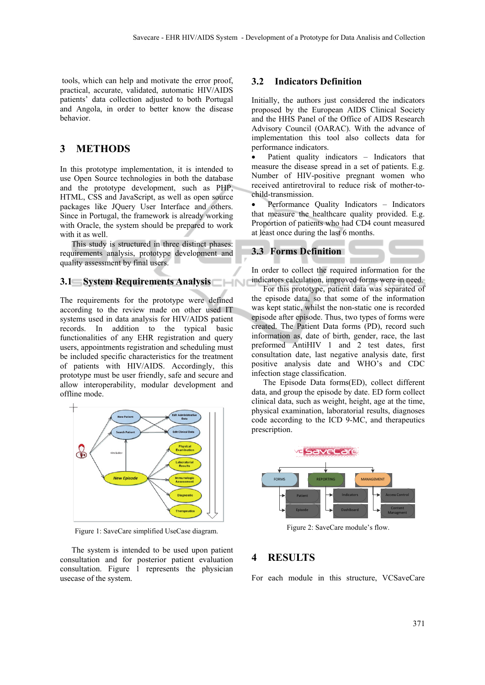tools, which can help and motivate the error proof, practical, accurate, validated, automatic HIV/AIDS patients' data collection adjusted to both Portugal and Angola, in order to better know the disease behavior.

# **3 METHODS**

In this prototype implementation, it is intended to use Open Source technologies in both the database and the prototype development, such as PHP, HTML, CSS and JavaScript, as well as open source packages like JQuery User Interface and others. Since in Portugal, the framework is already working with Oracle, the system should be prepared to work with it as well.

This study is structured in three distinct phases: requirements analysis, prototype development and quality assessment by final users.

### **3.1 System Requirements Analysis**

The requirements for the prototype were defined according to the review made on other used IT systems used in data analysis for HIV/AIDS patient records. In addition to the typical basic functionalities of any EHR registration and query users, appointments registration and scheduling must be included specific characteristics for the treatment of patients with HIV/AIDS. Accordingly, this prototype must be user friendly, safe and secure and allow interoperability, modular development and offline mode.



Figure 1: SaveCare simplified UseCase diagram.

The system is intended to be used upon patient consultation and for posterior patient evaluation consultation. Figure 1 represents the physician usecase of the system.

#### **3.2 Indicators Definition**

Initially, the authors just considered the indicators proposed by the European AIDS Clinical Society and the HHS Panel of the Office of AIDS Research Advisory Council (OARAC). With the advance of implementation this tool also collects data for performance indicators.

 Patient quality indicators – Indicators that measure the disease spread in a set of patients. E.g. Number of HIV-positive pregnant women who received antiretroviral to reduce risk of mother-tochild-transmission.

 Performance Quality Indicators – Indicators that measure the healthcare quality provided. E.g. Proportion of patients who had CD4 count measured at least once during the last 6 months.

#### **3.3 Forms Definition**

In order to collect the required information for the indicators calculation, improved forms were in need.

For this prototype, patient data was separated of the episode data, so that some of the information was kept static, whilst the non-static one is recorded episode after episode. Thus, two types of forms were created. The Patient Data forms (PD), record such information as, date of birth, gender, race, the last preformed AntiHIV 1 and 2 test dates, first consultation date, last negative analysis date, first positive analysis date and WHO's and CDC infection stage classification.

The Episode Data forms(ED), collect different data, and group the episode by date. ED form collect clinical data, such as weight, height, age at the time, physical examination, laboratorial results, diagnoses code according to the ICD 9-MC, and therapeutics prescription.



Figure 2: SaveCare module's flow.

### **4 RESULTS**

For each module in this structure, VCSaveCare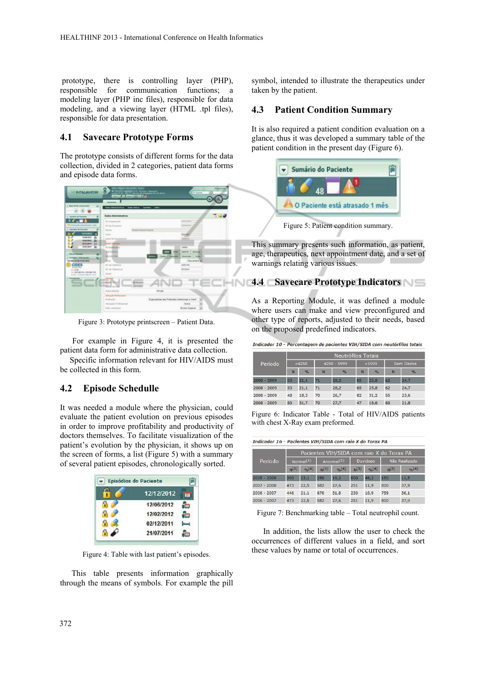prototype, there is controlling layer (PHP), responsible for communication functions; a modeling layer (PHP inc files), responsible for data modeling, and a viewing layer (HTML .tpl files), responsible for data presentation.

### **4.1 Savecare Prototype Forms**

The prototype consists of different forms for the data collection, divided in 2 categories, patient data forms and episode data forms.



Figure 3: Prototype printscreen – Patient Data.

For example in Figure 4, it is presented the patient data form for administrative data collection.

Specific information relevant for HIV/AIDS must be collected in this form.

### **4.2 Episode Schedulle**

It was needed a module where the physician, could evaluate the patient evolution on previous episodes in order to improve profitability and productivity of doctors themselves. To facilitate visualization of the patient's evolution by the physician, it shows up on the screen of forms, a list (Figure 5) with a summary of several patient episodes, chronologically sorted.

| Episódios do Paciente |            |  |  |
|-----------------------|------------|--|--|
|                       | 12/12/2012 |  |  |
|                       | 12/06/2012 |  |  |
|                       | 12/02/2012 |  |  |
|                       | 02/12/2011 |  |  |
|                       | 21/07/2011 |  |  |

Figure 4: Table with last patient's episodes.

This table presents information graphically through the means of symbols. For example the pill

symbol, intended to illustrate the therapeutics under taken by the patient.

#### **4.3 Patient Condition Summary**

It is also required a patient condition evaluation on a glance, thus it was developed a summary table of the patient condition in the present day (Figure 6).



This summary presents such information, as patient, age, therapeutics, next appointment date, and a set of warnings relating various issues.

## **4.4 Savecare Prototype Indicators**

As a Reporting Module, it was defined a module where users can make and view preconfigured and other type of reports, adjusted to their needs, based on the proposed predefined indicators.

Indicador 10 - Percentagem de pacientes VIH/SIDA com neutórfilos totais

|               | Neutrófilos Totais |               |             |      |       |               |                  |               |
|---------------|--------------------|---------------|-------------|------|-------|---------------|------------------|---------------|
| Período       | <4250              |               | 4250 - 5999 |      | >5999 |               | <b>Sem Dados</b> |               |
|               | N                  | $\frac{9}{6}$ | N           | %    | N     | $\frac{9}{6}$ | N                | $\frac{9}{6}$ |
| $2008 - 2009$ | 53                 | 21,1          | 71          | 28,2 | 65    | 25,8          | 62               | 24,7          |
| $2008 - 2009$ | 53                 | 21,1          | 71          | 28.2 | 65    | 25,8          | 62               | 24,7          |
| $2008 - 2009$ | 48                 | 18.3          | 70          | 26.7 | 82    | 31.2          | 55               | 23,6          |
| $2008 - 2009$ | 80                 | 31,7          | 70          | 27,7 | 47    | 18,6          | 60               | 21,8          |

Figure 6: Indicator Table - Total of HIV/AIDS patients with chest X-Ray exam preformed.

| Período     | Pacientes VIH/SIDA com raio X do Torax PA |             |                        |        |                 |              |               |        |
|-------------|-------------------------------------------|-------------|------------------------|--------|-----------------|--------------|---------------|--------|
|             | Normal(1)                                 |             | Anormal <sup>(2)</sup> |        | <b>Duvidoso</b> |              | Não Realizado |        |
|             | N(3)                                      | $O(n^{(4)}$ | N(3)                   | 9/6(4) | N(3)            | $O(n^{(4)})$ | N(3)          | 9/6(4) |
| 2008 - 2009 | 300                                       | 23,1        | 250                    | 19,2   | 600             | 46,2         | 150           | 11,5   |
| 2007 - 2008 | 473                                       | 22.5        | 582                    | 27.6   | 251             | 11.9         | 800           | 37.9   |
| 2006 - 2007 | 446                                       | 21.1        | 670                    | 31.8   | 230             | 10.9         | 759           | 36,1   |
| 2006 - 2007 | 473                                       | 22,5        | 582                    | 27,6   | 251             | 11,9         | 800           | 37,9   |
|             |                                           |             |                        |        |                 |              |               |        |

Figure 7: Benchmarking table – Total neutrophil count.

In addition, the lists allow the user to check the occurrences of different values in a field, and sort these values by name or total of occurrences.